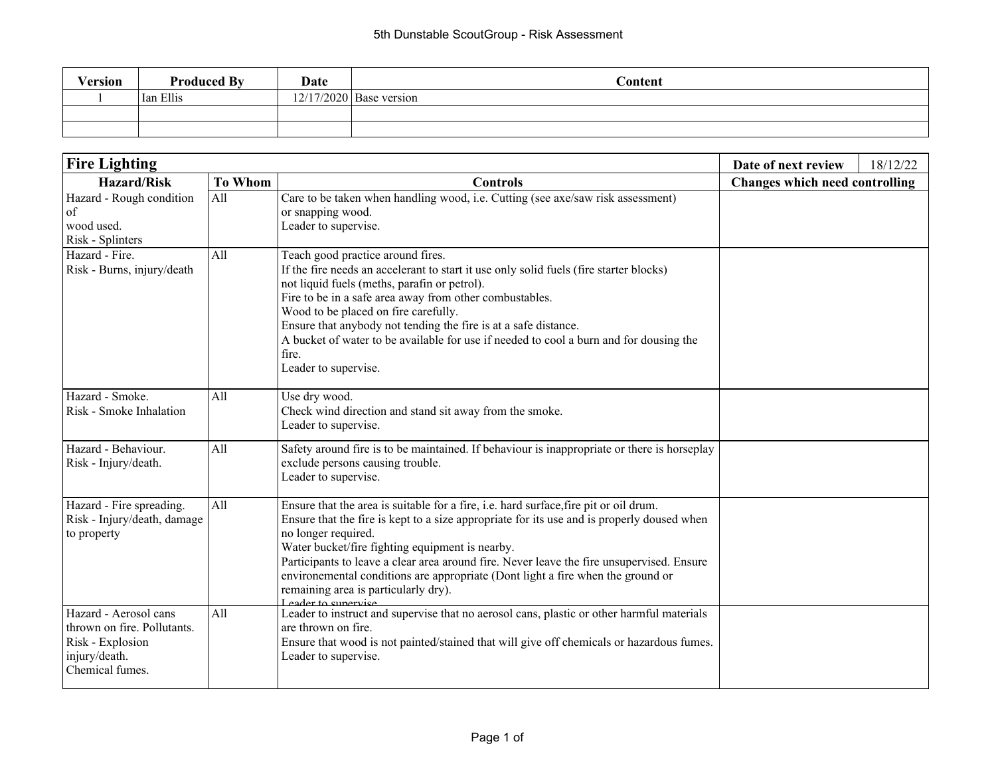| Version | <b>Produced By</b> | <b>Date</b> | Content                   |
|---------|--------------------|-------------|---------------------------|
|         | Ian Ellis          |             | $12/17/2020$ Base version |
|         |                    |             |                           |
|         |                    |             |                           |

| <b>Fire Lighting</b>                                                                                         | Date of next review | 18/12/22                                                                                                                                                                                                                                                                                                                                                                                                                                                                                                     |                                       |  |
|--------------------------------------------------------------------------------------------------------------|---------------------|--------------------------------------------------------------------------------------------------------------------------------------------------------------------------------------------------------------------------------------------------------------------------------------------------------------------------------------------------------------------------------------------------------------------------------------------------------------------------------------------------------------|---------------------------------------|--|
| <b>Hazard/Risk</b>                                                                                           | <b>To Whom</b>      | <b>Controls</b>                                                                                                                                                                                                                                                                                                                                                                                                                                                                                              | <b>Changes which need controlling</b> |  |
| Hazard - Rough condition<br>of<br>wood used.<br>Risk - Splinters                                             | All                 | Care to be taken when handling wood, i.e. Cutting (see axe/saw risk assessment)<br>or snapping wood.<br>Leader to supervise.                                                                                                                                                                                                                                                                                                                                                                                 |                                       |  |
| Hazard - Fire.<br>Risk - Burns, injury/death                                                                 | All                 | Teach good practice around fires.<br>If the fire needs an accelerant to start it use only solid fuels (fire starter blocks)<br>not liquid fuels (meths, parafin or petrol).<br>Fire to be in a safe area away from other combustables.<br>Wood to be placed on fire carefully.<br>Ensure that anybody not tending the fire is at a safe distance.<br>A bucket of water to be available for use if needed to cool a burn and for dousing the<br>fire.<br>Leader to supervise.                                 |                                       |  |
| Hazard - Smoke.<br>Risk - Smoke Inhalation                                                                   | All                 | Use dry wood.<br>Check wind direction and stand sit away from the smoke.<br>Leader to supervise.                                                                                                                                                                                                                                                                                                                                                                                                             |                                       |  |
| Hazard - Behaviour.<br>Risk - Injury/death.                                                                  | All                 | Safety around fire is to be maintained. If behaviour is inappropriate or there is horseplay<br>exclude persons causing trouble.<br>Leader to supervise.                                                                                                                                                                                                                                                                                                                                                      |                                       |  |
| Hazard - Fire spreading.<br>Risk - Injury/death, damage<br>to property                                       | All                 | Ensure that the area is suitable for a fire, i.e. hard surface, fire pit or oil drum.<br>Ensure that the fire is kept to a size appropriate for its use and is properly doused when<br>no longer required.<br>Water bucket/fire fighting equipment is nearby.<br>Participants to leave a clear area around fire. Never leave the fire unsupervised. Ensure<br>environemental conditions are appropriate (Dont light a fire when the ground or<br>remaining area is particularly dry).<br>Leader to supervise |                                       |  |
| Hazard - Aerosol cans<br>thrown on fire. Pollutants.<br>Risk - Explosion<br>injury/death.<br>Chemical fumes. | All                 | Leader to instruct and supervise that no aerosol cans, plastic or other harmful materials<br>are thrown on fire.<br>Ensure that wood is not painted/stained that will give off chemicals or hazardous fumes.<br>Leader to supervise.                                                                                                                                                                                                                                                                         |                                       |  |